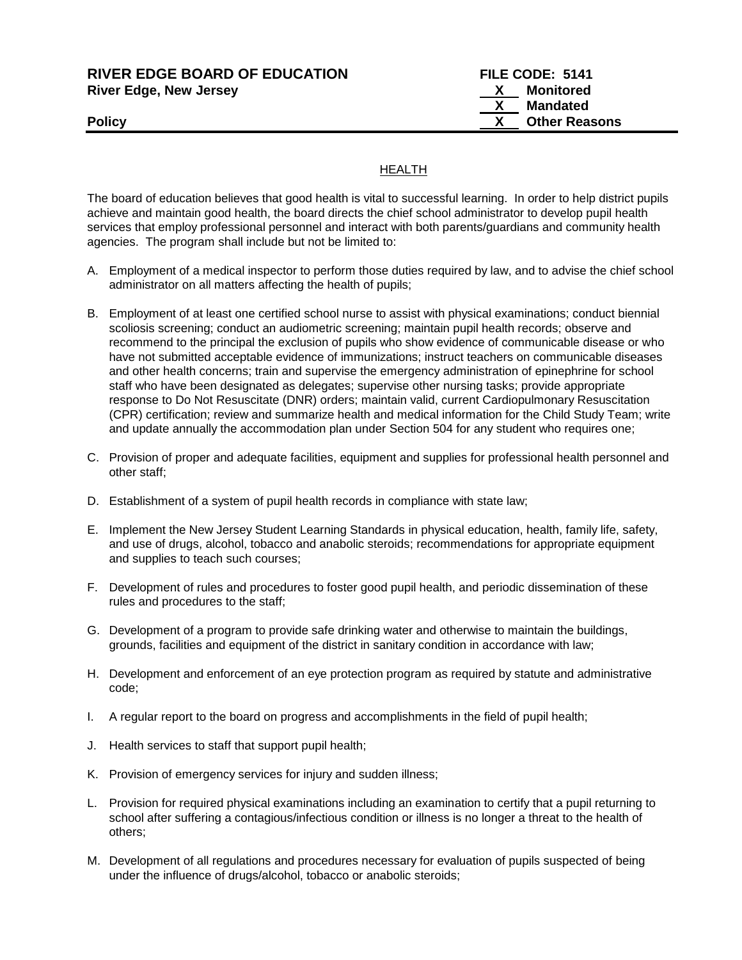#### **RIVER EDGE BOARD OF EDUCATION FILE CODE: 5141 River Edge, New Jersey X Monitored**

 **X Mandated Policy CONSERVING CONSERVANCE CONSERVANCE CONSERVANCE CONSERVANCE CONSERVANCE CONSERVANCE CONSERVANCE CONSERVANCE CONSERVANCE CONSERVANCE CONSERVANCE CONSERVANCE CONSERVANCE CONSERVANCE CONSERVANCE CONSERVANCE CONSERVAN** 

## HEALTH

The board of education believes that good health is vital to successful learning. In order to help district pupils achieve and maintain good health, the board directs the chief school administrator to develop pupil health services that employ professional personnel and interact with both parents/guardians and community health agencies. The program shall include but not be limited to:

- A. Employment of a medical inspector to perform those duties required by law, and to advise the chief school administrator on all matters affecting the health of pupils;
- B. Employment of at least one certified school nurse to assist with physical examinations; conduct biennial scoliosis screening; conduct an audiometric screening; maintain pupil health records; observe and recommend to the principal the exclusion of pupils who show evidence of communicable disease or who have not submitted acceptable evidence of immunizations; instruct teachers on communicable diseases and other health concerns; train and supervise the emergency administration of epinephrine for school staff who have been designated as delegates; supervise other nursing tasks; provide appropriate response to Do Not Resuscitate (DNR) orders; maintain valid, current Cardiopulmonary Resuscitation (CPR) certification; review and summarize health and medical information for the Child Study Team; write and update annually the accommodation plan under Section 504 for any student who requires one;
- C. Provision of proper and adequate facilities, equipment and supplies for professional health personnel and other staff;
- D. Establishment of a system of pupil health records in compliance with state law;
- E. Implement the New Jersey Student Learning Standards in physical education, health, family life, safety, and use of drugs, alcohol, tobacco and anabolic steroids; recommendations for appropriate equipment and supplies to teach such courses;
- F. Development of rules and procedures to foster good pupil health, and periodic dissemination of these rules and procedures to the staff;
- G. Development of a program to provide safe drinking water and otherwise to maintain the buildings, grounds, facilities and equipment of the district in sanitary condition in accordance with law;
- H. Development and enforcement of an eye protection program as required by statute and administrative code;
- I. A regular report to the board on progress and accomplishments in the field of pupil health;
- J. Health services to staff that support pupil health;
- K. Provision of emergency services for injury and sudden illness;
- L. Provision for required physical examinations including an examination to certify that a pupil returning to school after suffering a contagious/infectious condition or illness is no longer a threat to the health of others;
- M. Development of all regulations and procedures necessary for evaluation of pupils suspected of being under the influence of drugs/alcohol, tobacco or anabolic steroids;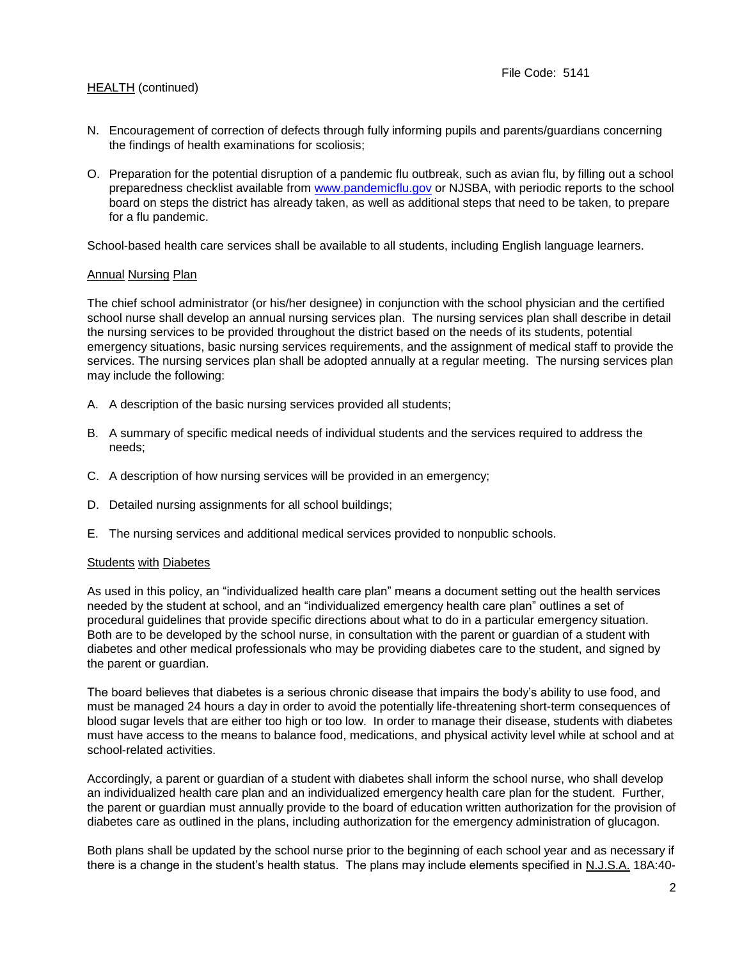- N. Encouragement of correction of defects through fully informing pupils and parents/guardians concerning the findings of health examinations for scoliosis;
- O. Preparation for the potential disruption of a pandemic flu outbreak, such as avian flu, by filling out a school preparedness checklist available from [www.pandemicflu.gov](http://www.pandemicflu.gov/) or NJSBA, with periodic reports to the school board on steps the district has already taken, as well as additional steps that need to be taken, to prepare for a flu pandemic.

School-based health care services shall be available to all students, including English language learners.

#### Annual Nursing Plan

The chief school administrator (or his/her designee) in conjunction with the school physician and the certified school nurse shall develop an annual nursing services plan. The nursing services plan shall describe in detail the nursing services to be provided throughout the district based on the needs of its students, potential emergency situations, basic nursing services requirements, and the assignment of medical staff to provide the services. The nursing services plan shall be adopted annually at a regular meeting. The nursing services plan may include the following:

- A. A description of the basic nursing services provided all students;
- B. A summary of specific medical needs of individual students and the services required to address the needs;
- C. A description of how nursing services will be provided in an emergency;
- D. Detailed nursing assignments for all school buildings;
- E. The nursing services and additional medical services provided to nonpublic schools.

### Students with Diabetes

As used in this policy, an "individualized health care plan" means a document setting out the health services needed by the student at school, and an "individualized emergency health care plan" outlines a set of procedural guidelines that provide specific directions about what to do in a particular emergency situation. Both are to be developed by the school nurse, in consultation with the parent or guardian of a student with diabetes and other medical professionals who may be providing diabetes care to the student, and signed by the parent or guardian.

The board believes that diabetes is a serious chronic disease that impairs the body's ability to use food, and must be managed 24 hours a day in order to avoid the potentially life-threatening short-term consequences of blood sugar levels that are either too high or too low. In order to manage their disease, students with diabetes must have access to the means to balance food, medications, and physical activity level while at school and at school-related activities.

Accordingly, a parent or guardian of a student with diabetes shall inform the school nurse, who shall develop an individualized health care plan and an individualized emergency health care plan for the student. Further, the parent or guardian must annually provide to the board of education written authorization for the provision of diabetes care as outlined in the plans, including authorization for the emergency administration of glucagon.

Both plans shall be updated by the school nurse prior to the beginning of each school year and as necessary if there is a change in the student's health status. The plans may include elements specified in N.J.S.A. 18A:40-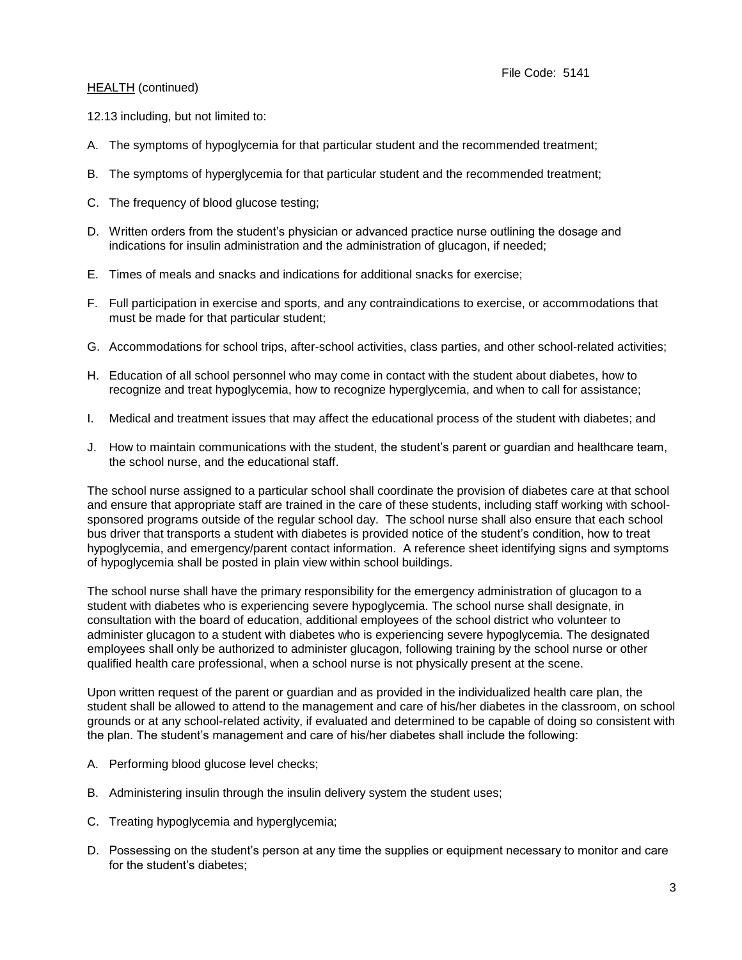12.13 including, but not limited to:

- A. The symptoms of hypoglycemia for that particular student and the recommended treatment;
- B. The symptoms of hyperglycemia for that particular student and the recommended treatment;
- C. The frequency of blood glucose testing;
- D. Written orders from the student's physician or advanced practice nurse outlining the dosage and indications for insulin administration and the administration of glucagon, if needed;
- E. Times of meals and snacks and indications for additional snacks for exercise;
- F. Full participation in exercise and sports, and any contraindications to exercise, or accommodations that must be made for that particular student;
- G. Accommodations for school trips, after-school activities, class parties, and other school-related activities;
- H. Education of all school personnel who may come in contact with the student about diabetes, how to recognize and treat hypoglycemia, how to recognize hyperglycemia, and when to call for assistance;
- I. Medical and treatment issues that may affect the educational process of the student with diabetes; and
- J. How to maintain communications with the student, the student's parent or guardian and healthcare team, the school nurse, and the educational staff.

The school nurse assigned to a particular school shall coordinate the provision of diabetes care at that school and ensure that appropriate staff are trained in the care of these students, including staff working with schoolsponsored programs outside of the regular school day. The school nurse shall also ensure that each school bus driver that transports a student with diabetes is provided notice of the student's condition, how to treat hypoglycemia, and emergency/parent contact information. A reference sheet identifying signs and symptoms of hypoglycemia shall be posted in plain view within school buildings.

The school nurse shall have the primary responsibility for the emergency administration of glucagon to a student with diabetes who is experiencing severe hypoglycemia. The school nurse shall designate, in consultation with the board of education, additional employees of the school district who volunteer to administer glucagon to a student with diabetes who is experiencing severe hypoglycemia. The designated employees shall only be authorized to administer glucagon, following training by the school nurse or other qualified health care professional, when a school nurse is not physically present at the scene.

Upon written request of the parent or guardian and as provided in the individualized health care plan, the student shall be allowed to attend to the management and care of his/her diabetes in the classroom, on school grounds or at any school-related activity, if evaluated and determined to be capable of doing so consistent with the plan. The student's management and care of his/her diabetes shall include the following:

- A. Performing blood glucose level checks;
- B. Administering insulin through the insulin delivery system the student uses;
- C. Treating hypoglycemia and hyperglycemia;
- D. Possessing on the student's person at any time the supplies or equipment necessary to monitor and care for the student's diabetes;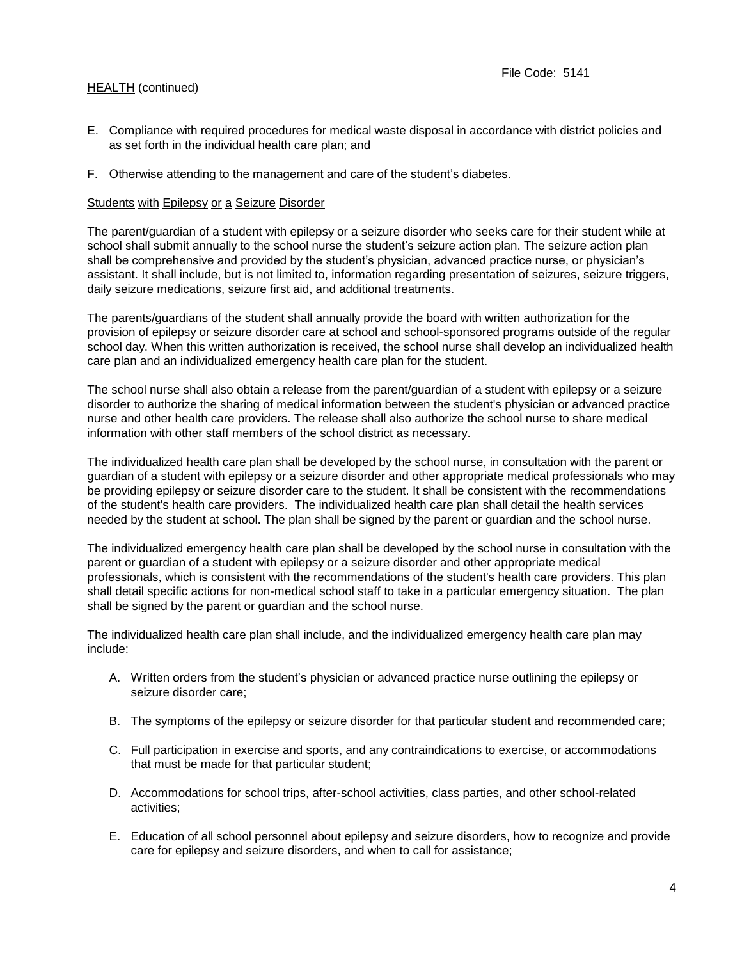- E. Compliance with required procedures for medical waste disposal in accordance with district policies and as set forth in the individual health care plan; and
- F. Otherwise attending to the management and care of the student's diabetes.

#### Students with Epilepsy or a Seizure Disorder

The parent/guardian of a student with epilepsy or a seizure disorder who seeks care for their student while at school shall submit annually to the school nurse the student's seizure action plan. The seizure action plan shall be comprehensive and provided by the student's physician, advanced practice nurse, or physician's assistant. It shall include, but is not limited to, information regarding presentation of seizures, seizure triggers, daily seizure medications, seizure first aid, and additional treatments.

The parents/guardians of the student shall annually provide the board with written authorization for the provision of epilepsy or seizure disorder care at school and school-sponsored programs outside of the regular school day. When this written authorization is received, the school nurse shall develop an individualized health care plan and an individualized emergency health care plan for the student.

The school nurse shall also obtain a release from the parent/guardian of a student with epilepsy or a seizure disorder to authorize the sharing of medical information between the student's physician or advanced practice nurse and other health care providers. The release shall also authorize the school nurse to share medical information with other staff members of the school district as necessary.

The individualized health care plan shall be developed by the school nurse, in consultation with the parent or guardian of a student with epilepsy or a seizure disorder and other appropriate medical professionals who may be providing epilepsy or seizure disorder care to the student. It shall be consistent with the recommendations of the student's health care providers. The individualized health care plan shall detail the health services needed by the student at school. The plan shall be signed by the parent or guardian and the school nurse.

The individualized emergency health care plan shall be developed by the school nurse in consultation with the parent or guardian of a student with epilepsy or a seizure disorder and other appropriate medical professionals, which is consistent with the recommendations of the student's health care providers. This plan shall detail specific actions for non-medical school staff to take in a particular emergency situation. The plan shall be signed by the parent or guardian and the school nurse.

The individualized health care plan shall include, and the individualized emergency health care plan may include:

- A. Written orders from the student's physician or advanced practice nurse outlining the epilepsy or seizure disorder care;
- B. The symptoms of the epilepsy or seizure disorder for that particular student and recommended care;
- C. Full participation in exercise and sports, and any contraindications to exercise, or accommodations that must be made for that particular student;
- D. Accommodations for school trips, after-school activities, class parties, and other school-related activities;
- E. Education of all school personnel about epilepsy and seizure disorders, how to recognize and provide care for epilepsy and seizure disorders, and when to call for assistance;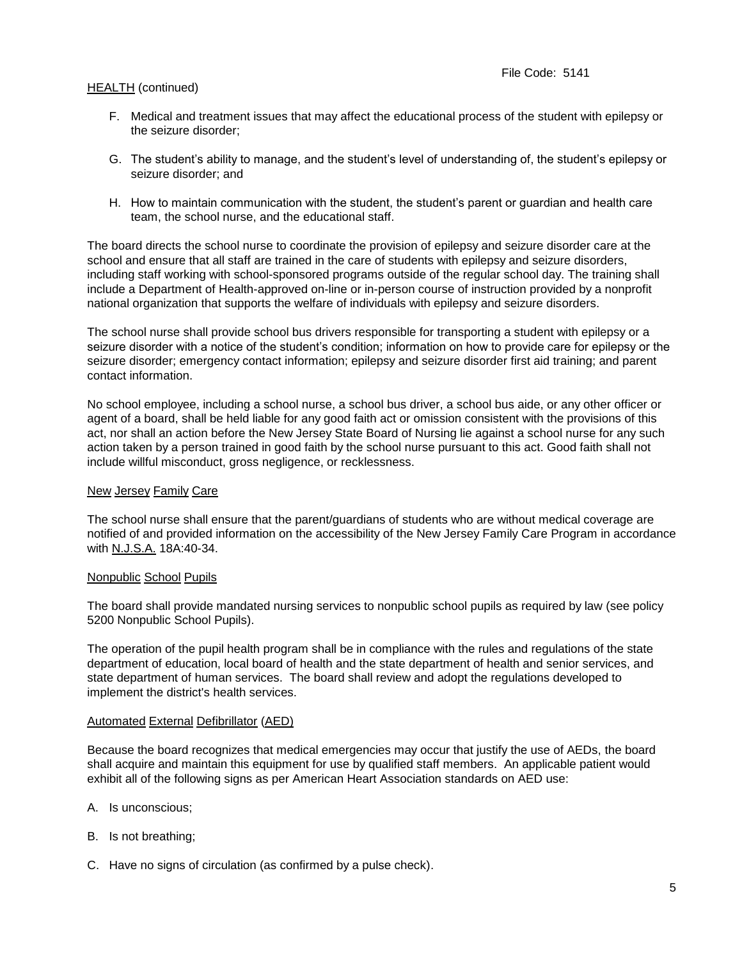- F. Medical and treatment issues that may affect the educational process of the student with epilepsy or the seizure disorder;
- G. The student's ability to manage, and the student's level of understanding of, the student's epilepsy or seizure disorder; and
- H. How to maintain communication with the student, the student's parent or guardian and health care team, the school nurse, and the educational staff.

The board directs the school nurse to coordinate the provision of epilepsy and seizure disorder care at the school and ensure that all staff are trained in the care of students with epilepsy and seizure disorders, including staff working with school-sponsored programs outside of the regular school day. The training shall include a Department of Health-approved on-line or in-person course of instruction provided by a nonprofit national organization that supports the welfare of individuals with epilepsy and seizure disorders.

The school nurse shall provide school bus drivers responsible for transporting a student with epilepsy or a seizure disorder with a notice of the student's condition; information on how to provide care for epilepsy or the seizure disorder; emergency contact information; epilepsy and seizure disorder first aid training; and parent contact information.

No school employee, including a school nurse, a school bus driver, a school bus aide, or any other officer or agent of a board, shall be held liable for any good faith act or omission consistent with the provisions of this act, nor shall an action before the New Jersey State Board of Nursing lie against a school nurse for any such action taken by a person trained in good faith by the school nurse pursuant to this act. Good faith shall not include willful misconduct, gross negligence, or recklessness.

#### New Jersey Family Care

The school nurse shall ensure that the parent/guardians of students who are without medical coverage are notified of and provided information on the accessibility of the New Jersey Family Care Program in accordance with N.J.S.A. 18A:40-34.

### Nonpublic School Pupils

The board shall provide mandated nursing services to nonpublic school pupils as required by law (see policy 5200 Nonpublic School Pupils).

The operation of the pupil health program shall be in compliance with the rules and regulations of the state department of education, local board of health and the state department of health and senior services, and state department of human services. The board shall review and adopt the regulations developed to implement the district's health services.

#### Automated External Defibrillator (AED)

Because the board recognizes that medical emergencies may occur that justify the use of AEDs, the board shall acquire and maintain this equipment for use by qualified staff members. An applicable patient would exhibit all of the following signs as per American Heart Association standards on AED use:

- A. Is unconscious;
- B. Is not breathing;
- C. Have no signs of circulation (as confirmed by a pulse check).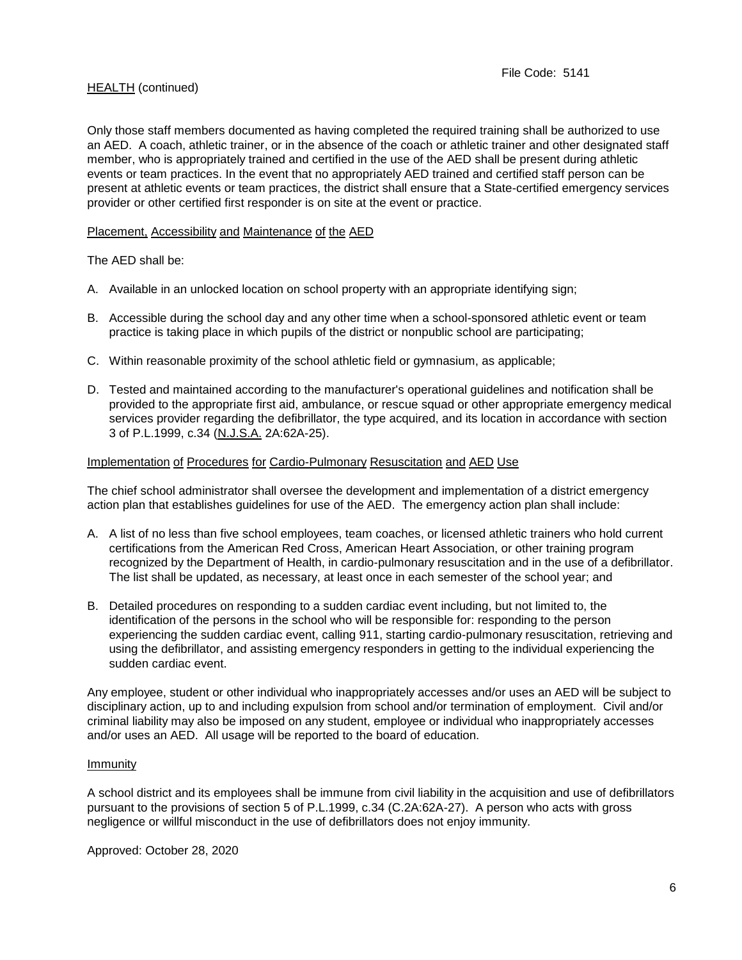Only those staff members documented as having completed the required training shall be authorized to use an AED. A coach, athletic trainer, or in the absence of the coach or athletic trainer and other designated staff member, who is appropriately trained and certified in the use of the AED shall be present during athletic events or team practices. In the event that no appropriately AED trained and certified staff person can be present at athletic events or team practices, the district shall ensure that a State-certified emergency services provider or other certified first responder is on site at the event or practice.

### Placement, Accessibility and Maintenance of the AED

The AED shall be:

- A. Available in an unlocked location on school property with an appropriate identifying sign;
- B. Accessible during the school day and any other time when a school-sponsored athletic event or team practice is taking place in which pupils of the district or nonpublic school are participating;
- C. Within reasonable proximity of the school athletic field or gymnasium, as applicable;
- D. Tested and maintained according to the manufacturer's operational guidelines and notification shall be provided to the appropriate first aid, ambulance, or rescue squad or other appropriate emergency medical services provider regarding the defibrillator, the type acquired, and its location in accordance with section 3 of P.L.1999, c.34 (N.J.S.A. 2A:62A-25).

#### Implementation of Procedures for Cardio-Pulmonary Resuscitation and AED Use

The chief school administrator shall oversee the development and implementation of a district emergency action plan that establishes guidelines for use of the AED. The emergency action plan shall include:

- A. A list of no less than five school employees, team coaches, or licensed athletic trainers who hold current certifications from the American Red Cross, American Heart Association, or other training program recognized by the Department of Health, in cardio-pulmonary resuscitation and in the use of a defibrillator. The list shall be updated, as necessary, at least once in each semester of the school year; and
- B. Detailed procedures on responding to a sudden cardiac event including, but not limited to, the identification of the persons in the school who will be responsible for: responding to the person experiencing the sudden cardiac event, calling 911, starting cardio-pulmonary resuscitation, retrieving and using the defibrillator, and assisting emergency responders in getting to the individual experiencing the sudden cardiac event.

Any employee, student or other individual who inappropriately accesses and/or uses an AED will be subject to disciplinary action, up to and including expulsion from school and/or termination of employment. Civil and/or criminal liability may also be imposed on any student, employee or individual who inappropriately accesses and/or uses an AED. All usage will be reported to the board of education.

#### Immunity

A school district and its employees shall be immune from civil liability in the acquisition and use of defibrillators pursuant to the provisions of section 5 of P.L.1999, c.34 (C.2A:62A-27). A person who acts with gross negligence or willful misconduct in the use of defibrillators does not enjoy immunity.

Approved: October 28, 2020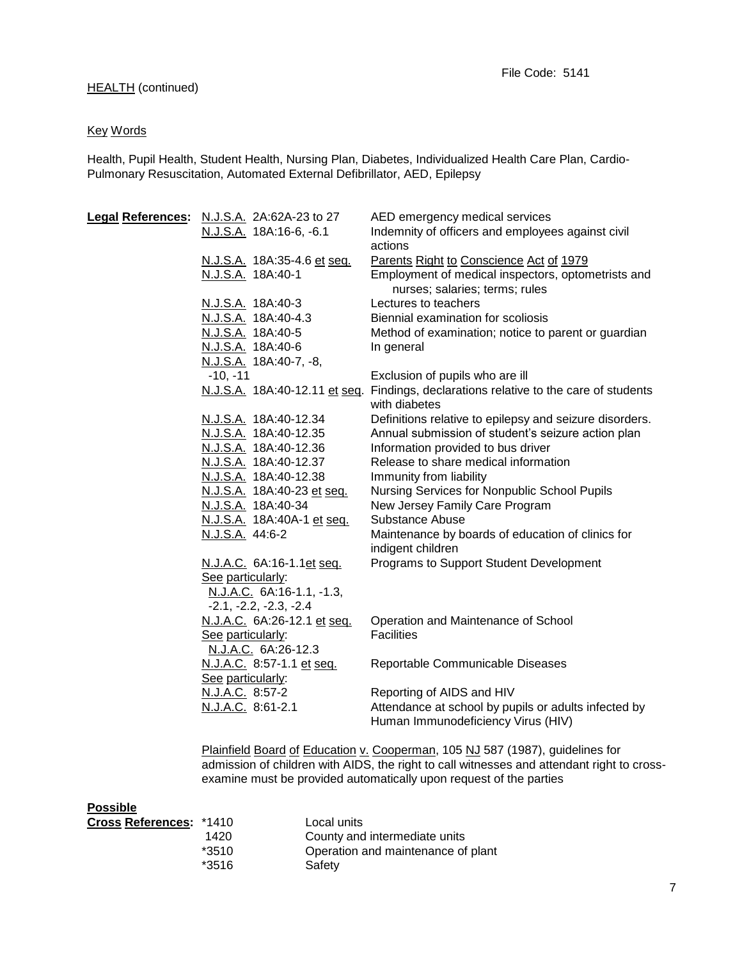## Key Words

Health, Pupil Health, Student Health, Nursing Plan, Diabetes, Individualized Health Care Plan, Cardio-Pulmonary Resuscitation, Automated External Defibrillator, AED, Epilepsy

| Legal References: N.J.S.A. 2A:62A-23 to 27 | AED emergency medical services                                                                         |
|--------------------------------------------|--------------------------------------------------------------------------------------------------------|
| N.J.S.A. 18A:16-6, -6.1                    | Indemnity of officers and employees against civil<br>actions                                           |
| N.J.S.A. 18A:35-4.6 et seq.                | Parents Right to Conscience Act of 1979                                                                |
| N.J.S.A. 18A:40-1                          | Employment of medical inspectors, optometrists and<br>nurses; salaries; terms; rules                   |
| N.J.S.A. 18A:40-3                          | Lectures to teachers                                                                                   |
| N.J.S.A. 18A:40-4.3                        | Biennial examination for scoliosis                                                                     |
| N.J.S.A. 18A:40-5                          | Method of examination; notice to parent or guardian                                                    |
| N.J.S.A. 18A:40-6                          | In general                                                                                             |
| N.J.S.A. 18A:40-7, -8,                     |                                                                                                        |
| $-10, -11$                                 | Exclusion of pupils who are ill                                                                        |
|                                            | N.J.S.A. 18A:40-12.11 et seq. Findings, declarations relative to the care of students<br>with diabetes |
| N.J.S.A. 18A:40-12.34                      | Definitions relative to epilepsy and seizure disorders.                                                |
| N.J.S.A. 18A:40-12.35                      | Annual submission of student's seizure action plan                                                     |
| N.J.S.A. 18A:40-12.36                      | Information provided to bus driver                                                                     |
| N.J.S.A. 18A:40-12.37                      | Release to share medical information                                                                   |
| N.J.S.A. 18A:40-12.38                      | Immunity from liability                                                                                |
| N.J.S.A. 18A:40-23 et seq.                 | Nursing Services for Nonpublic School Pupils                                                           |
| N.J.S.A. 18A:40-34                         | New Jersey Family Care Program                                                                         |
| N.J.S.A. 18A:40A-1 et seq.                 | Substance Abuse                                                                                        |
| N.J.S.A. 44:6-2                            | Maintenance by boards of education of clinics for<br>indigent children                                 |
| N.J.A.C. 6A:16-1.1et seq.                  | Programs to Support Student Development                                                                |
| See particularly:                          |                                                                                                        |
| N.J.A.C. 6A:16-1.1, -1.3,                  |                                                                                                        |
| $-2.1, -2.2, -2.3, -2.4$                   |                                                                                                        |
| N.J.A.C. 6A:26-12.1 et seq.                | Operation and Maintenance of School                                                                    |
| See particularly:                          | <b>Facilities</b>                                                                                      |
| N.J.A.C. 6A:26-12.3                        |                                                                                                        |
| N.J.A.C. 8:57-1.1 et seq.                  | Reportable Communicable Diseases                                                                       |
| See particularly:                          |                                                                                                        |
| N.J.A.C. 8:57-2<br>N.J.A.C. 8:61-2.1       | Reporting of AIDS and HIV<br>Attendance at school by pupils or adults infected by                      |
|                                            | Human Immunodeficiency Virus (HIV)                                                                     |
|                                            |                                                                                                        |
|                                            | Plainfield Board of Education v. Cooperman, 105 NJ 587 (1987), guidelines for                          |

admission of children with AIDS, the right to call witnesses and attendant right to crossexamine must be provided automatically upon request of the parties

#### **Possible**

| <b>Cross References: *1410</b> |         | Local units                        |
|--------------------------------|---------|------------------------------------|
|                                | 1420    | County and intermediate units      |
|                                | $*3510$ | Operation and maintenance of plant |
|                                | *3516   | Safety                             |